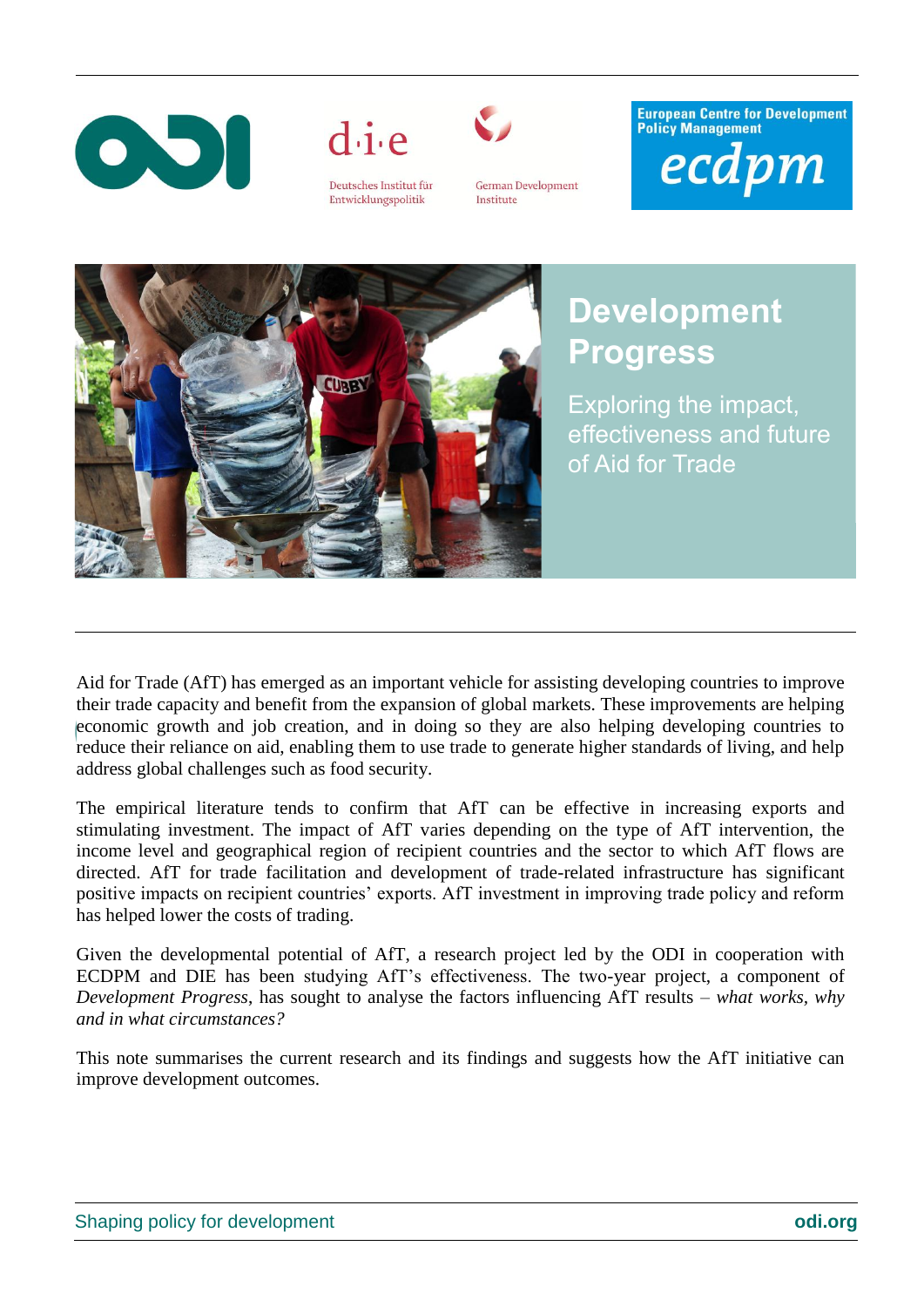



Deutsches Institut für Entwicklungspolitik



**German Development** Institute

**European Centre for Development Policy Management** ecdpm



## **Development Progress**

Exploring the impact, effectiveness and future of Aid for Trade

Aid for Trade (AfT) has emerged as an important vehicle for assisting developing countries to improve their trade capacity and benefit from the expansion of global markets. These improvements are helping economic growth and job creation, and in doing so they are also helping developing countries to reduce their reliance on aid, enabling them to use trade to generate higher standards of living, and help address global challenges such as food security.

The empirical literature tends to confirm that AfT can be effective in increasing exports and stimulating investment. The impact of AfT varies depending on the type of AfT intervention, the income level and geographical region of recipient countries and the sector to which AfT flows are directed. AfT for trade facilitation and development of trade-related infrastructure has significant positive impacts on recipient countries' exports. AfT investment in improving trade policy and reform has helped lower the costs of trading.

Given the developmental potential of AfT, a research project led by the ODI in cooperation with ECDPM and DIE has been studying AfT's effectiveness. The two-year project, a component of *Development Progress*, has sought to analyse the factors influencing AfT results – *what works, why and in what circumstances?*

This note summarises the current research and its findings and suggests how the AfT initiative can improve development outcomes.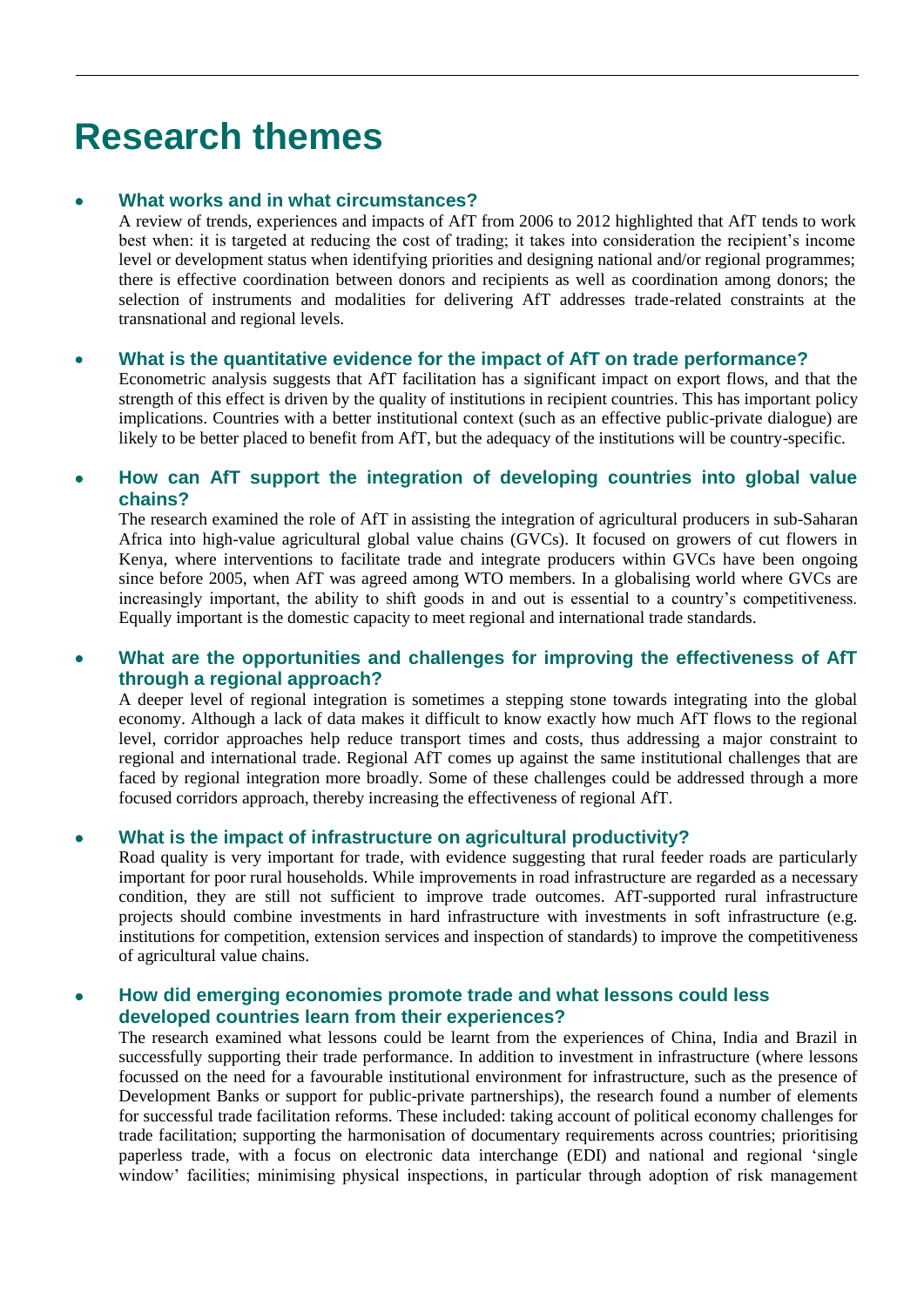# **Research themes**

## **[What works and in what circumstances?](http://www.odi.org.uk/publications/6771-increasing-effectiveness-aid-trade)**

A review of trends, experiences and impacts of AfT from 2006 to 2012 highlighted that AfT tends to work best when: it is targeted at reducing the cost of trading; it takes into consideration the recipient's income level or development status when identifying priorities and designing national and/or regional programmes; there is effective coordination between donors and recipients as well as coordination among donors; the selection of instruments and modalities for delivering AfT addresses trade-related constraints at the transnational and regional levels.

### **What is the quantitative evidence for the impact of AfT on trade performance?**

Econometric analysis suggests that AfT facilitation has a significant impact on export flows, and that the strength of this effect is driven by the quality of institutions in recipient countries. This has important policy implications. Countries with a better institutional context (such as an effective public-private dialogue) are likely to be better placed to benefit from AfT, but the adequacy of the institutions will be country-specific.

### **[How can AfT support the integration of developing countries into global value](http://www.odi.org.uk/publications/7579-aid-trade-global-value-chains-food-insecurity)  [chains?](http://www.odi.org.uk/publications/7579-aid-trade-global-value-chains-food-insecurity)**

The research examined the role of AfT in assisting the integration of agricultural producers in sub-Saharan Africa into high-value agricultural global value chains (GVCs). It focused on growers of cut flowers in Kenya, where interventions to facilitate trade and integrate producers within GVCs have been ongoing since before 2005, when AfT was agreed among WTO members. In a globalising world where GVCs are increasingly important, the ability to shift goods in and out is essential to a country's competitiveness. Equally important is the domestic capacity to meet regional and international trade standards.

## **[What are the opportunities and challenges for improving the effectiveness of AfT](http://www.odi.org.uk/publications/7576-regional-aid-trade-effectiveness)  [through a regional approach?](http://www.odi.org.uk/publications/7576-regional-aid-trade-effectiveness)**

A deeper level of regional integration is sometimes a stepping stone towards integrating into the global economy. Although a lack of data makes it difficult to know exactly how much AfT flows to the regional level, corridor approaches help reduce transport times and costs, thus addressing a major constraint to regional and international trade. Regional AfT comes up against the same institutional challenges that are faced by regional integration more broadly. Some of these challenges could be addressed through a more focused corridors approach, thereby increasing the effectiveness of regional AfT.

### **What is the impact of infrastructure on agricultural productivity?**

Road quality is very important for trade, with evidence suggesting that rural feeder roads are particularly important for poor rural households. While improvements in road infrastructure are regarded as a necessary condition, they are still not sufficient to improve trade outcomes. AfT-supported rural infrastructure projects should combine investments in hard infrastructure with investments in soft infrastructure (e.g. institutions for competition, extension services and inspection of standards) to improve the competitiveness of agricultural value chains.

### **[How did emerging economies promote trade and what lessons could less](http://www.odi.org.uk/publications/7577-successful-trade-promotion-lessons-emerging-economies-brazil-india-china)  [developed countries learn from their experiences?](http://www.odi.org.uk/publications/7577-successful-trade-promotion-lessons-emerging-economies-brazil-india-china)**

The research examined what lessons could be learnt from the experiences of China, India and Brazil in successfully supporting their trade performance. In addition to investment in infrastructure (where lessons focussed on the need for a favourable institutional environment for infrastructure, such as the presence of Development Banks or support for public-private partnerships), the research found a number of elements for successful trade facilitation reforms. These included: taking account of political economy challenges for trade facilitation; supporting the harmonisation of documentary requirements across countries; prioritising paperless trade, with a focus on electronic data interchange (EDI) and national and regional 'single window' facilities; minimising physical inspections, in particular through adoption of risk management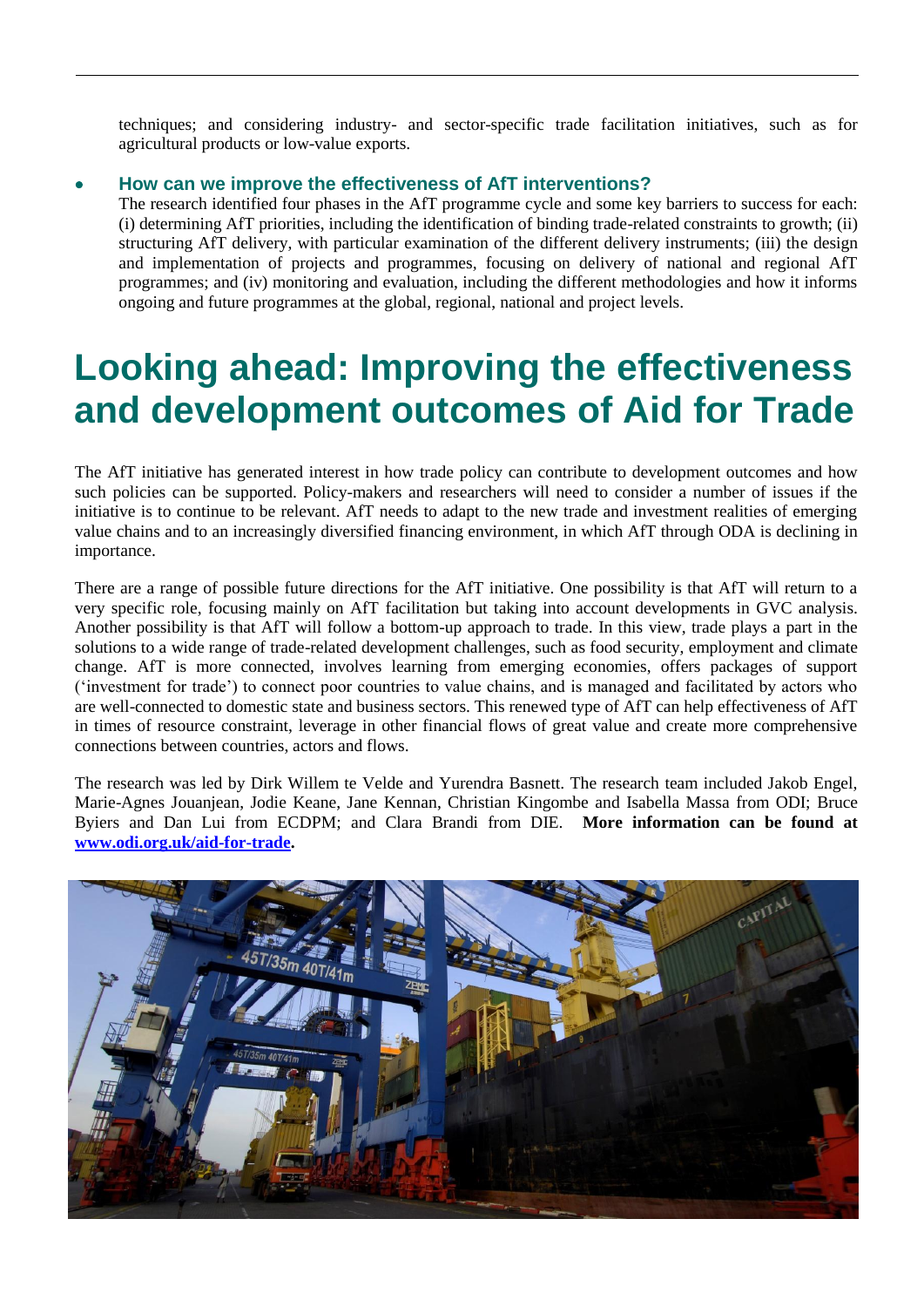techniques; and considering industry- and sector-specific trade facilitation initiatives, such as for agricultural products or low-value exports.

#### **[How can we improve the effectiveness of AfT interventions?](http://www.odi.org.uk/publications/7200-aid-trade-development-private-sector-global-markets)**

The research identified four phases in the AfT programme cycle and some key barriers to success for each: (i) determining AfT priorities, including the identification of binding trade-related constraints to growth; (ii) structuring AfT delivery, with particular examination of the different delivery instruments; (iii) the design and implementation of projects and programmes, focusing on delivery of national and regional AfT programmes; and (iv) monitoring and evaluation, including the different methodologies and how it informs ongoing and future programmes at the global, regional, national and project levels.

## **Looking ahead: Improving the effectiveness and development outcomes of Aid for Trade**

The AfT initiative has generated interest in how trade policy can contribute to development outcomes and how such policies can be supported. Policy-makers and researchers will need to consider a number of issues if the initiative is to continue to be relevant. AfT needs to adapt to the new trade and investment realities of emerging value chains and to an increasingly diversified financing environment, in which AfT through ODA is declining in importance.

There are a range of possible future directions for the AfT initiative. One possibility is that AfT will return to a very specific role, focusing mainly on AfT facilitation but taking into account developments in GVC analysis. Another possibility is that AfT will follow a bottom-up approach to trade. In this view, trade plays a part in the solutions to a wide range of trade-related development challenges, such as food security, employment and climate change. AfT is more connected, involves learning from emerging economies, offers packages of support ('investment for trade') to connect poor countries to value chains, and is managed and facilitated by actors who are well-connected to domestic state and business sectors. This renewed type of AfT can help effectiveness of AfT in times of resource constraint, leverage in other financial flows of great value and create more comprehensive connections between countries, actors and flows.

The research was led by Dirk Willem te Velde and Yurendra Basnett. The research team included Jakob Engel, Marie-Agnes Jouanjean, Jodie Keane, Jane Kennan, Christian Kingombe and Isabella Massa from ODI; Bruce Byiers and Dan Lui from ECDPM; and Clara Brandi from DIE. **More information can be found at [www.odi.org.uk/aid-for-trade.](http://www.odi.org.uk/aid-for-trade)**